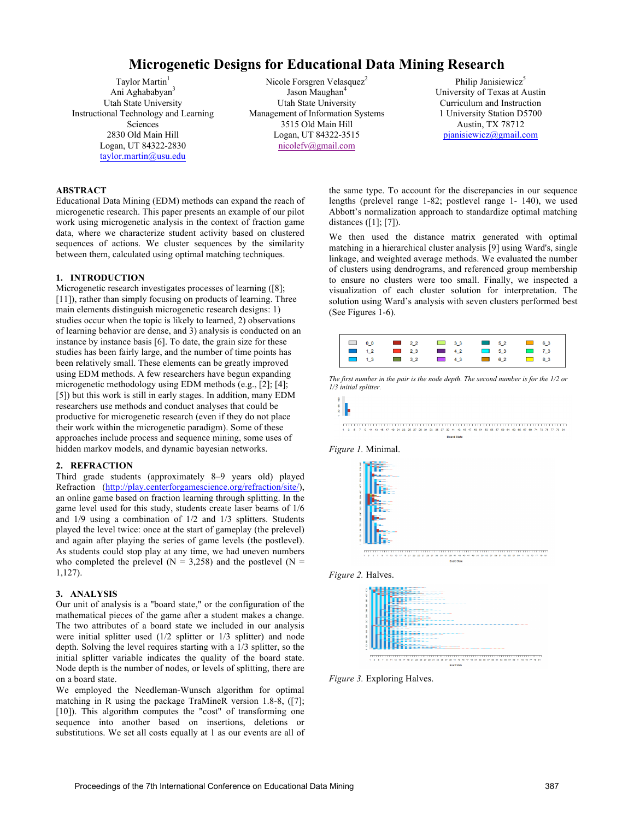# **Microgenetic Designs for Educational Data Mining Research**

Taylor Martin<sup>1</sup> Ani Aghababyan<sup>3</sup> Utah State University Instructional Technology and Learning Sciences 2830 Old Main Hill Logan, UT 84322-2830 taylor.martin@usu.edu

Nicole Forsgren Velasquez<sup>2</sup> Jason Maughan<sup>4</sup> Utah State University Management of Information Systems 3515 Old Main Hill Logan, UT 84322-3515 nicolefv@gmail.com

Philip Janisiewicz<sup>3</sup> University of Texas at Austin Curriculum and Instruction 1 University Station D5700 Austin, TX 78712 pjanisiewicz@gmail.com

## **ABSTRACT**

Educational Data Mining (EDM) methods can expand the reach of microgenetic research. This paper presents an example of our pilot work using microgenetic analysis in the context of fraction game data, where we characterize student activity based on clustered sequences of actions. We cluster sequences by the similarity between them, calculated using optimal matching techniques.

# **1. INTRODUCTION**

Microgenetic research investigates processes of learning ([8]; [11]), rather than simply focusing on products of learning. Three main elements distinguish microgenetic research designs: 1) studies occur when the topic is likely to learned, 2) observations of learning behavior are dense, and 3) analysis is conducted on an instance by instance basis [6]. To date, the grain size for these studies has been fairly large, and the number of time points has been relatively small. These elements can be greatly improved using EDM methods. A few researchers have begun expanding microgenetic methodology using EDM methods (e.g., [2]; [4]; [5]) but this work is still in early stages. In addition, many EDM researchers use methods and conduct analyses that could be productive for microgenetic research (even if they do not place their work within the microgenetic paradigm). Some of these approaches include process and sequence mining, some uses of hidden markov models, and dynamic bayesian networks.

## **2. REFRACTION**

Third grade students (approximately 8–9 years old) played Refraction (http://play.centerforgamescience.org/refraction/site/), an online game based on fraction learning through splitting. In the game level used for this study, students create laser beams of 1/6 and 1/9 using a combination of 1/2 and 1/3 splitters. Students played the level twice: once at the start of gameplay (the prelevel) and again after playing the series of game levels (the postlevel). As students could stop play at any time, we had uneven numbers who completed the prelevel ( $N = 3,258$ ) and the postlevel ( $N =$ 1,127).

#### **3. ANALYSIS**

Our unit of analysis is a "board state," or the configuration of the mathematical pieces of the game after a student makes a change. The two attributes of a board state we included in our analysis were initial splitter used (1/2 splitter or 1/3 splitter) and node depth. Solving the level requires starting with a 1/3 splitter, so the initial splitter variable indicates the quality of the board state. Node depth is the number of nodes, or levels of splitting, there are on a board state.

We employed the Needleman-Wunsch algorithm for optimal matching in R using the package TraMineR version 1.8-8, ([7]; [10]). This algorithm computes the "cost" of transforming one sequence into another based on insertions, deletions or substitutions. We set all costs equally at 1 as our events are all of

the same type. To account for the discrepancies in our sequence lengths (prelevel range 1-82; postlevel range 1- 140), we used Abbott's normalization approach to standardize optimal matching distances ([1]; [7]).

We then used the distance matrix generated with optimal matching in a hierarchical cluster analysis [9] using Ward's, single linkage, and weighted average methods. We evaluated the number of clusters using dendrograms, and referenced group membership to ensure no clusters were too small. Finally, we inspected a visualization of each cluster solution for interpretation. The solution using Ward's analysis with seven clusters performed best (See Figures 1-6).















*Figure 3.* Exploring Halves.